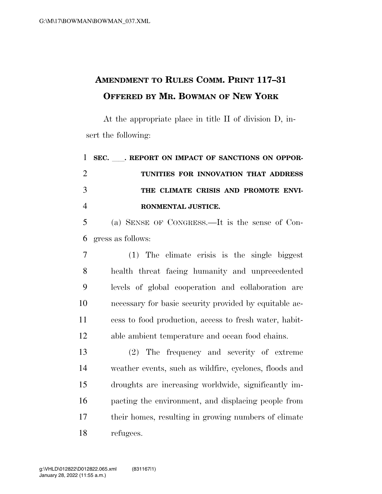## **AMENDMENT TO RULES COMM. PRINT 117–31 OFFERED BY MR. BOWMAN OF NEW YORK**

At the appropriate place in title II of division D, insert the following:

 **SEC.** ll**. REPORT ON IMPACT OF SANCTIONS ON OPPOR- TUNITIES FOR INNOVATION THAT ADDRESS THE CLIMATE CRISIS AND PROMOTE ENVI- RONMENTAL JUSTICE.**  (a) SENSE OF CONGRESS.—It is the sense of Con- gress as follows: (1) The climate crisis is the single biggest health threat facing humanity and unprecedented

 levels of global cooperation and collaboration are necessary for basic security provided by equitable ac- cess to food production, access to fresh water, habit-able ambient temperature and ocean food chains.

 (2) The frequency and severity of extreme weather events, such as wildfire, cyclones, floods and droughts are increasing worldwide, significantly im- pacting the environment, and displacing people from their homes, resulting in growing numbers of climate refugees.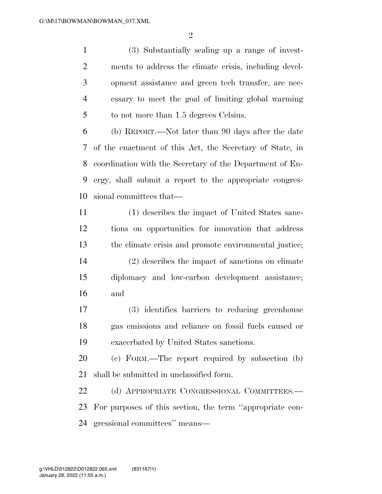(3) Substantially scaling up a range of invest- ments to address the climate crisis, including devel- opment assistance and green tech transfer, are nec- essary to meet the goal of limiting global warming to not more than 1.5 degrees Celsius.

 (b) REPORT.—Not later than 90 days after the date of the enactment of this Act, the Secretary of State, in coordination with the Secretary of the Department of En- ergy, shall submit a report to the appropriate congres-sional committees that—

 (1) describes the impact of United States sanc- tions on opportunities for innovation that address the climate crisis and promote environmental justice; (2) describes the impact of sanctions on climate diplomacy and low-carbon development assistance; and

 (3) identifies barriers to reducing greenhouse gas emissions and reliance on fossil fuels caused or exacerbated by United States sanctions.

 (c) FORM.—The report required by subsection (b) shall be submitted in unclassified form.

22 (d) APPROPRIATE CONGRESSIONAL COMMITTEES.— For purposes of this section, the term ''appropriate con-gressional committees'' means